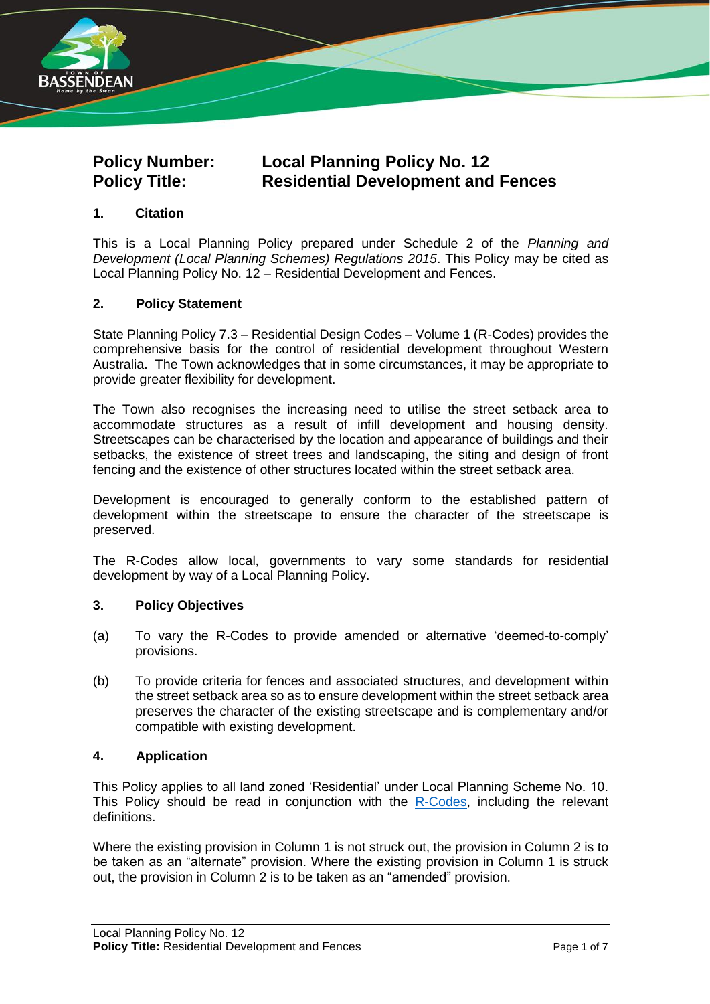

# **Policy Number: Local Planning Policy No. 12 Policy Title: Residential Development and Fences**

### **1. Citation**

This is a Local Planning Policy prepared under Schedule 2 of the *Planning and Development (Local Planning Schemes) Regulations 2015*. This Policy may be cited as Local Planning Policy No. 12 – Residential Development and Fences.

#### **2. Policy Statement**

State Planning Policy 7.3 – Residential Design Codes – Volume 1 (R-Codes) provides the comprehensive basis for the control of residential development throughout Western Australia. The Town acknowledges that in some circumstances, it may be appropriate to provide greater flexibility for development.

The Town also recognises the increasing need to utilise the street setback area to accommodate structures as a result of infill development and housing density. Streetscapes can be characterised by the location and appearance of buildings and their setbacks, the existence of street trees and landscaping, the siting and design of front fencing and the existence of other structures located within the street setback area.

Development is encouraged to generally conform to the established pattern of development within the streetscape to ensure the character of the streetscape is preserved.

The R-Codes allow local, governments to vary some standards for residential development by way of a Local Planning Policy.

#### **3. Policy Objectives**

- (a) To vary the R-Codes to provide amended or alternative 'deemed-to-comply' provisions.
- (b) To provide criteria for fences and associated structures, and development within the street setback area so as to ensure development within the street setback area preserves the character of the existing streetscape and is complementary and/or compatible with existing development.

#### **4. Application**

This Policy applies to all land zoned 'Residential' under Local Planning Scheme No. 10. This Policy should be read in conjunction with the [R-Codes,](https://www.dplh.wa.gov.au/rcodes) including the relevant definitions.

Where the existing provision in Column 1 is not struck out, the provision in Column 2 is to be taken as an "alternate" provision. Where the existing provision in Column 1 is struck out, the provision in Column 2 is to be taken as an "amended" provision.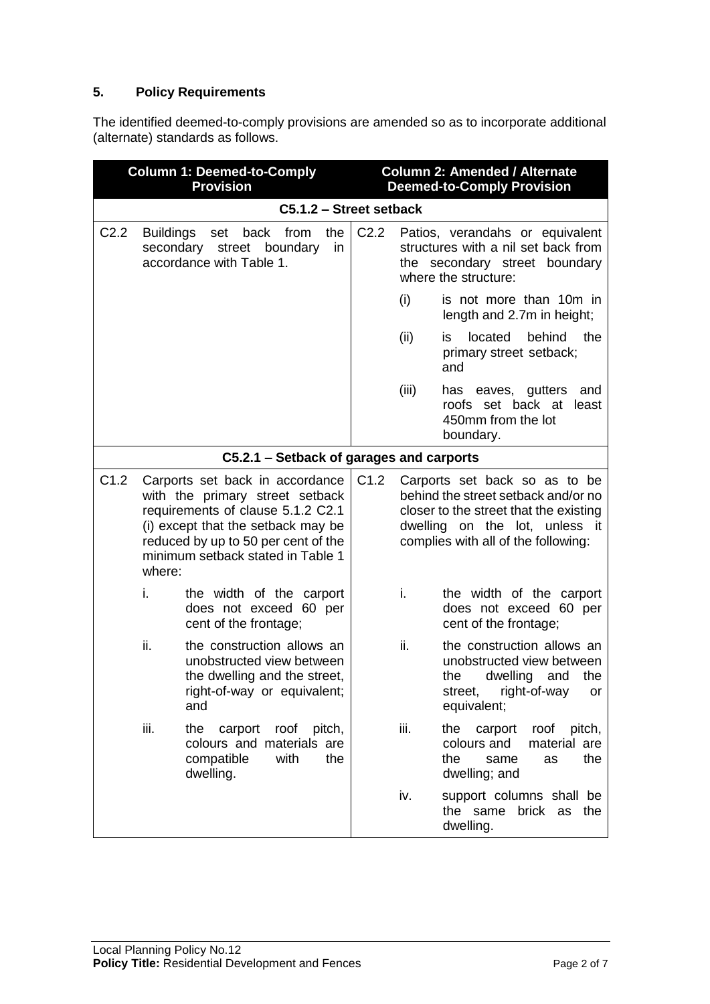## **5. Policy Requirements**

The identified deemed-to-comply provisions are amended so as to incorporate additional (alternate) standards as follows.

| <b>Column 1: Deemed-to-Comply</b><br><b>Provision</b> |                               |                                                                                                                                                                                                                           |                  |       | <b>Column 2: Amended / Alternate</b><br><b>Deemed-to-Comply Provision</b>                                                                                                               |
|-------------------------------------------------------|-------------------------------|---------------------------------------------------------------------------------------------------------------------------------------------------------------------------------------------------------------------------|------------------|-------|-----------------------------------------------------------------------------------------------------------------------------------------------------------------------------------------|
|                                                       |                               | C5.1.2 - Street setback                                                                                                                                                                                                   |                  |       |                                                                                                                                                                                         |
| C <sub>2.2</sub>                                      | <b>Buildings</b><br>secondary | the<br>back<br>from<br>set<br>street boundary<br>in<br>accordance with Table 1.                                                                                                                                           | C <sub>2.2</sub> |       | Patios, verandahs or equivalent<br>structures with a nil set back from<br>the secondary street boundary<br>where the structure:                                                         |
|                                                       |                               |                                                                                                                                                                                                                           |                  | (i)   | is not more than 10m in<br>length and 2.7m in height;                                                                                                                                   |
|                                                       |                               |                                                                                                                                                                                                                           |                  | (ii)  | located<br>behind<br>the<br>is.<br>primary street setback;<br>and                                                                                                                       |
|                                                       |                               |                                                                                                                                                                                                                           |                  | (iii) | has eaves, gutters<br>and<br>roofs set back at<br>least<br>450mm from the lot<br>boundary.                                                                                              |
|                                                       |                               | C5.2.1 – Setback of garages and carports                                                                                                                                                                                  |                  |       |                                                                                                                                                                                         |
| C1.2                                                  | where:                        | Carports set back in accordance<br>with the primary street setback<br>requirements of clause 5.1.2 C2.1<br>(i) except that the setback may be<br>reduced by up to 50 per cent of the<br>minimum setback stated in Table 1 | C1.2             |       | Carports set back so as to be<br>behind the street setback and/or no<br>closer to the street that the existing<br>dwelling on the lot, unless it<br>complies with all of the following: |
|                                                       | i.                            | the width of the carport<br>does not exceed 60 per<br>cent of the frontage;                                                                                                                                               |                  | i.    | the width of the carport<br>does not exceed 60 per<br>cent of the frontage;                                                                                                             |
|                                                       | ii.                           | the construction allows an<br>unobstructed view between<br>the dwelling and the street,<br>right-of-way or equivalent;<br>and                                                                                             |                  | ii.   | the construction allows an<br>unobstructed view between<br>dwelling<br>the<br>and<br>the<br>right-of-way<br>street,<br>or<br>equivalent;                                                |
|                                                       | iii.                          | the<br>carport<br>roof pitch,<br>colours and materials are<br>compatible<br>with<br>the<br>dwelling.                                                                                                                      |                  | iii.  | the<br>carport<br>roof pitch,<br>colours and<br>material are<br>the<br>the<br>same<br>as<br>dwelling; and                                                                               |
|                                                       |                               |                                                                                                                                                                                                                           |                  | iv.   | support columns shall be<br>the same brick as the<br>dwelling.                                                                                                                          |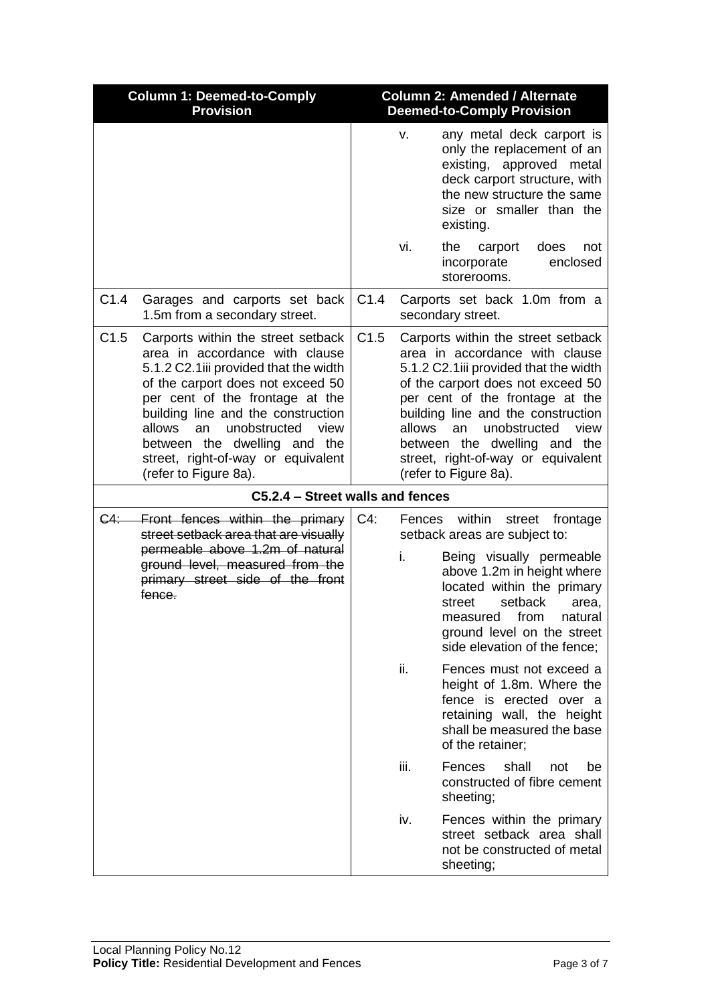| <b>Column 1: Deemed-to-Comply</b><br><b>Provision</b> |                                                                                                                                                                                                                                                                                                                                                                    |      |              | <b>Column 2: Amended / Alternate</b><br><b>Deemed-to-Comply Provision</b>                                                                                                                                                                                                                                                                                |
|-------------------------------------------------------|--------------------------------------------------------------------------------------------------------------------------------------------------------------------------------------------------------------------------------------------------------------------------------------------------------------------------------------------------------------------|------|--------------|----------------------------------------------------------------------------------------------------------------------------------------------------------------------------------------------------------------------------------------------------------------------------------------------------------------------------------------------------------|
|                                                       |                                                                                                                                                                                                                                                                                                                                                                    |      | V.           | any metal deck carport is<br>only the replacement of an<br>existing, approved<br>metal<br>deck carport structure, with<br>the new structure the same<br>size or smaller than the<br>existing.                                                                                                                                                            |
|                                                       |                                                                                                                                                                                                                                                                                                                                                                    |      | vi.          | the<br>carport<br>does<br>not<br>incorporate<br>enclosed<br>storerooms.                                                                                                                                                                                                                                                                                  |
| C1.4                                                  | Garages and carports set back<br>1.5m from a secondary street.                                                                                                                                                                                                                                                                                                     | C1.4 |              | Carports set back 1.0m from a<br>secondary street.                                                                                                                                                                                                                                                                                                       |
| C1.5                                                  | Carports within the street setback<br>area in accordance with clause<br>5.1.2 C2.1iii provided that the width<br>of the carport does not exceed 50<br>per cent of the frontage at the<br>building line and the construction<br>unobstructed<br>allows<br>view<br>an<br>between the dwelling and the<br>street, right-of-way or equivalent<br>(refer to Figure 8a). | C1.5 | allows       | Carports within the street setback<br>area in accordance with clause<br>5.1.2 C2.1iii provided that the width<br>of the carport does not exceed 50<br>per cent of the frontage at the<br>building line and the construction<br>unobstructed<br>view<br>an<br>between the dwelling and the<br>street, right-of-way or equivalent<br>(refer to Figure 8a). |
|                                                       | C5.2.4 - Street walls and fences                                                                                                                                                                                                                                                                                                                                   |      |              |                                                                                                                                                                                                                                                                                                                                                          |
| <del>C4:</del> —                                      | Front fences within the primary<br>street setback area that are visually<br>permeable above 1.2m of natural<br>ground level, measured from the<br>primary street side of the front<br>fence.                                                                                                                                                                       | C4:  | Fences<br>i. | within<br>street<br>frontage<br>setback areas are subject to:<br>Being visually permeable<br>above 1.2m in height where<br>located within the primary<br>setback<br>street<br>area,<br>measured from<br>natural<br>ground level on the street<br>side elevation of the fence;                                                                            |
|                                                       |                                                                                                                                                                                                                                                                                                                                                                    |      | ii.          | Fences must not exceed a<br>height of 1.8m. Where the<br>fence is erected over a<br>retaining wall, the height<br>shall be measured the base<br>of the retainer;                                                                                                                                                                                         |
|                                                       |                                                                                                                                                                                                                                                                                                                                                                    |      | iii.         | Fences<br>shall<br>be<br>not<br>constructed of fibre cement<br>sheeting;                                                                                                                                                                                                                                                                                 |
|                                                       |                                                                                                                                                                                                                                                                                                                                                                    |      | iv.          | Fences within the primary<br>street setback area shall<br>not be constructed of metal<br>sheeting;                                                                                                                                                                                                                                                       |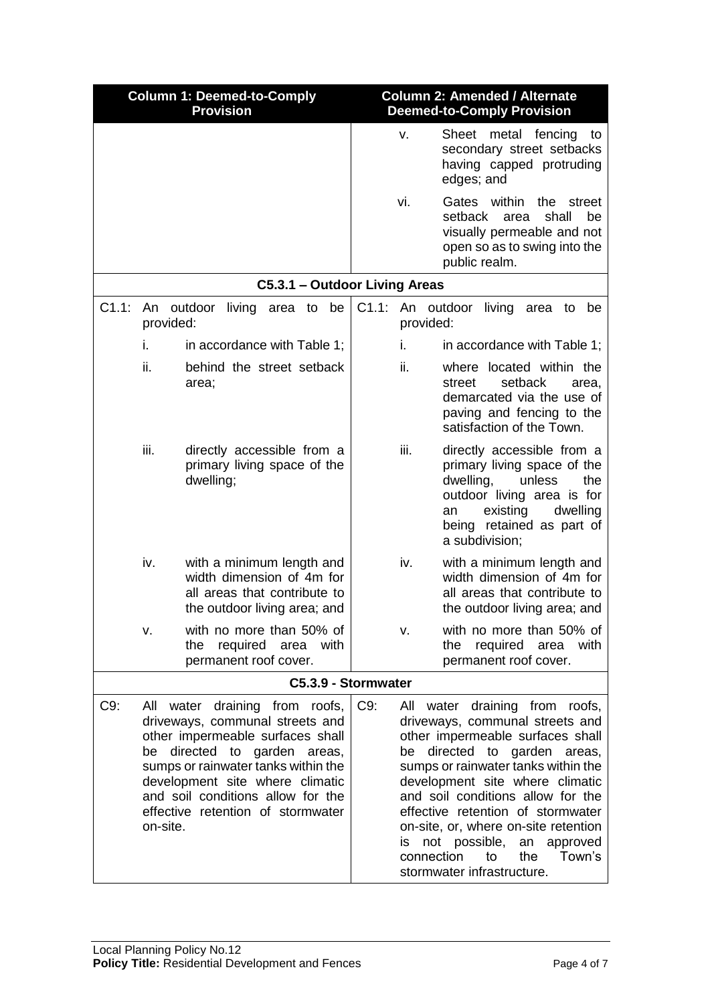|       | <b>Column 1: Deemed-to-Comply</b><br><b>Provision</b>                                                                                                                                                                                                                                                          |                                                                                                                        | <b>Column 2: Amended / Alternate</b><br><b>Deemed-to-Comply Provision</b> |                        |                                                                                                                                                                                                                                                                                                                                                                                                                     |
|-------|----------------------------------------------------------------------------------------------------------------------------------------------------------------------------------------------------------------------------------------------------------------------------------------------------------------|------------------------------------------------------------------------------------------------------------------------|---------------------------------------------------------------------------|------------------------|---------------------------------------------------------------------------------------------------------------------------------------------------------------------------------------------------------------------------------------------------------------------------------------------------------------------------------------------------------------------------------------------------------------------|
|       |                                                                                                                                                                                                                                                                                                                |                                                                                                                        |                                                                           | v.                     | Sheet metal fencing<br>to<br>secondary street setbacks<br>having capped protruding<br>edges; and                                                                                                                                                                                                                                                                                                                    |
|       |                                                                                                                                                                                                                                                                                                                |                                                                                                                        |                                                                           | vi.                    | within<br>Gates<br>the<br>street<br>setback<br>shall<br>be<br>area<br>visually permeable and not<br>open so as to swing into the<br>public realm.                                                                                                                                                                                                                                                                   |
|       |                                                                                                                                                                                                                                                                                                                | C5.3.1 - Outdoor Living Areas                                                                                          |                                                                           |                        |                                                                                                                                                                                                                                                                                                                                                                                                                     |
| C1.1: | An outdoor<br>provided:                                                                                                                                                                                                                                                                                        | living area to be                                                                                                      | C1.1:                                                                     | provided:              | An outdoor<br>living<br>area<br>to<br>be                                                                                                                                                                                                                                                                                                                                                                            |
|       | i.                                                                                                                                                                                                                                                                                                             | in accordance with Table 1:                                                                                            |                                                                           | İ.                     | in accordance with Table 1:                                                                                                                                                                                                                                                                                                                                                                                         |
|       | ii.                                                                                                                                                                                                                                                                                                            | behind the street setback<br>area;                                                                                     |                                                                           | ii.                    | where located within the<br>setback<br>street<br>area,<br>demarcated via the use of<br>paving and fencing to the<br>satisfaction of the Town.                                                                                                                                                                                                                                                                       |
|       | iii.                                                                                                                                                                                                                                                                                                           | directly accessible from a<br>primary living space of the<br>dwelling;                                                 |                                                                           | iii.                   | directly accessible from a<br>primary living space of the<br>dwelling,<br>unless<br>the<br>outdoor living area is for<br>existing<br>dwelling<br>an<br>being retained as part of<br>a subdivision;                                                                                                                                                                                                                  |
|       | iv.                                                                                                                                                                                                                                                                                                            | with a minimum length and<br>width dimension of 4m for<br>all areas that contribute to<br>the outdoor living area; and |                                                                           | iv.                    | with a minimum length and<br>width dimension of 4m for<br>all areas that contribute to<br>the outdoor living area; and                                                                                                                                                                                                                                                                                              |
|       | ٧.                                                                                                                                                                                                                                                                                                             | with no more than 50% of<br>required area<br>the<br>with<br>permanent roof cover.                                      |                                                                           | v.                     | with no more than 50% of<br>required area<br>the<br>with<br>permanent roof cover.                                                                                                                                                                                                                                                                                                                                   |
|       |                                                                                                                                                                                                                                                                                                                | C5.3.9 - Stormwater                                                                                                    |                                                                           |                        |                                                                                                                                                                                                                                                                                                                                                                                                                     |
| C9:   | All water draining from roofs,<br>driveways, communal streets and<br>other impermeable surfaces shall<br>directed<br>garden areas,<br>to<br>be<br>sumps or rainwater tanks within the<br>development site where climatic<br>and soil conditions allow for the<br>effective retention of stormwater<br>on-site. |                                                                                                                        | $C9$ :                                                                    | be<br>IS<br>connection | All water draining from roofs,<br>driveways, communal streets and<br>other impermeable surfaces shall<br>directed to garden areas,<br>sumps or rainwater tanks within the<br>development site where climatic<br>and soil conditions allow for the<br>effective retention of stormwater<br>on-site, or, where on-site retention<br>not possible,<br>an approved<br>Town's<br>to<br>the<br>stormwater infrastructure. |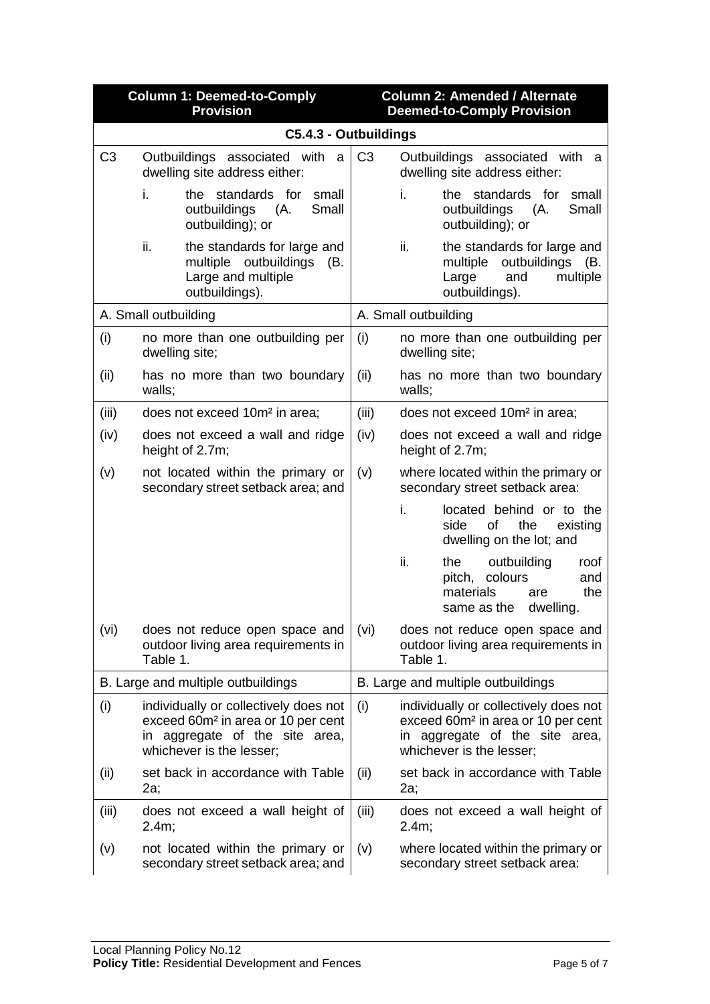|                                    | <b>Column 1: Deemed-to-Comply</b><br><b>Provision</b>                                                                                                 |                | <b>Column 2: Amended / Alternate</b><br><b>Deemed-to-Comply Provision</b>                                                                             |
|------------------------------------|-------------------------------------------------------------------------------------------------------------------------------------------------------|----------------|-------------------------------------------------------------------------------------------------------------------------------------------------------|
|                                    | C5.4.3 - Outbuildings                                                                                                                                 |                |                                                                                                                                                       |
| C <sub>3</sub>                     | Outbuildings associated with<br>- a<br>dwelling site address either:                                                                                  | C <sub>3</sub> | Outbuildings associated with a<br>dwelling site address either:                                                                                       |
|                                    | i.<br>standards for<br>the.<br>small<br>outbuildings<br>(A.<br>Small<br>outbuilding); or                                                              |                | standards for<br>the<br>small<br>İ.<br>outbuildings (A.<br>Small<br>outbuilding); or                                                                  |
|                                    | ii.<br>the standards for large and<br>multiple outbuildings<br>(B.<br>Large and multiple<br>outbuildings).                                            |                | the standards for large and<br>ii.<br>outbuildings (B.<br>multiple<br>and<br>multiple<br>Large<br>outbuildings).                                      |
|                                    | A. Small outbuilding                                                                                                                                  |                | A. Small outbuilding                                                                                                                                  |
| (i)                                | no more than one outbuilding per<br>dwelling site;                                                                                                    | (i)            | no more than one outbuilding per<br>dwelling site;                                                                                                    |
| (ii)                               | has no more than two boundary<br>walls;                                                                                                               | (ii)           | has no more than two boundary<br>walls;                                                                                                               |
| (iii)                              | does not exceed 10m <sup>2</sup> in area;                                                                                                             | (iii)          | does not exceed 10m <sup>2</sup> in area;                                                                                                             |
| (iv)                               | does not exceed a wall and ridge<br>height of 2.7m;                                                                                                   | (iv)           | does not exceed a wall and ridge<br>height of 2.7m;                                                                                                   |
| (v)                                | not located within the primary or<br>secondary street setback area; and                                                                               | (v)            | where located within the primary or<br>secondary street setback area:                                                                                 |
|                                    |                                                                                                                                                       |                | located behind or to the<br>İ.<br>of<br>the<br>side<br>existing<br>dwelling on the lot; and                                                           |
|                                    |                                                                                                                                                       |                | ii.<br>outbuilding<br>the<br>roof<br>colours<br>pitch,<br>and<br>the<br>materials<br>are<br>same as the<br>dwelling.                                  |
| (vi)                               | does not reduce open space and<br>outdoor living area requirements in<br>Table 1.                                                                     | (vi)           | does not reduce open space and<br>outdoor living area requirements in<br>Table 1.                                                                     |
| B. Large and multiple outbuildings |                                                                                                                                                       |                | B. Large and multiple outbuildings                                                                                                                    |
| (i)                                | individually or collectively does not<br>exceed 60m <sup>2</sup> in area or 10 per cent<br>in aggregate of the site area,<br>whichever is the lesser; | (i)            | individually or collectively does not<br>exceed 60m <sup>2</sup> in area or 10 per cent<br>in aggregate of the site area,<br>whichever is the lesser; |
| (ii)                               | set back in accordance with Table<br>2a;                                                                                                              | (ii)           | set back in accordance with Table<br>2a;                                                                                                              |
| (iii)                              | does not exceed a wall height of<br>2.4m;                                                                                                             | (iii)          | does not exceed a wall height of<br>2.4m;                                                                                                             |
| (v)                                | not located within the primary or<br>secondary street setback area; and                                                                               | (v)            | where located within the primary or<br>secondary street setback area:                                                                                 |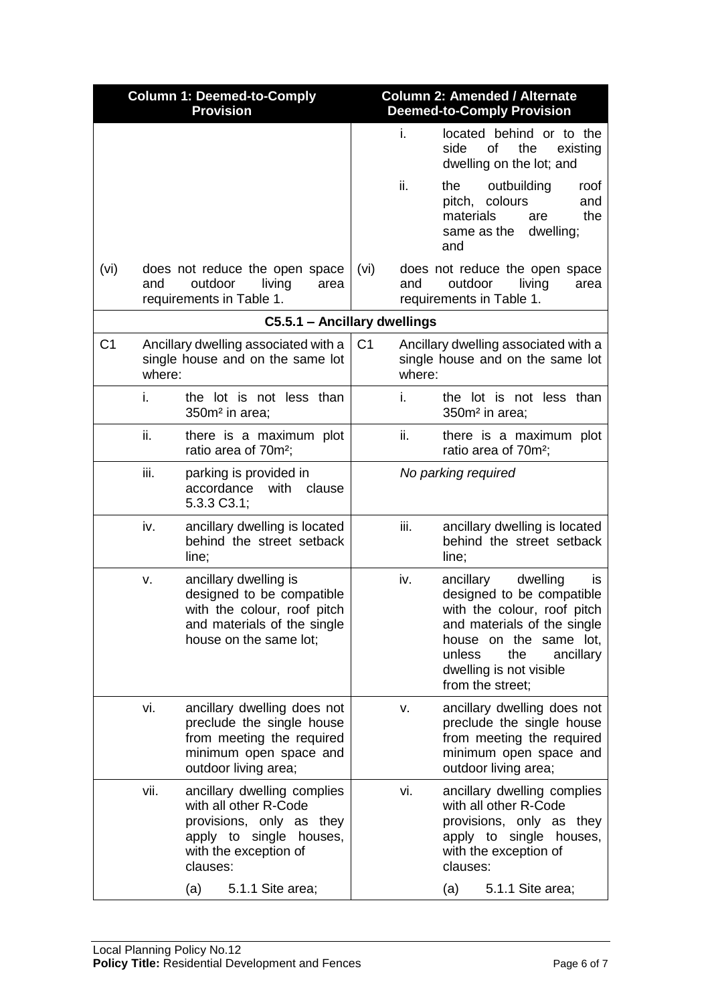|                | <b>Column 1: Deemed-to-Comply</b><br><b>Provision</b>                              |                                                                                                                                                     |                |                                                                                    | <b>Column 2: Amended / Alternate</b><br><b>Deemed-to-Comply Provision</b>                                                                                                                                                      |
|----------------|------------------------------------------------------------------------------------|-----------------------------------------------------------------------------------------------------------------------------------------------------|----------------|------------------------------------------------------------------------------------|--------------------------------------------------------------------------------------------------------------------------------------------------------------------------------------------------------------------------------|
|                |                                                                                    |                                                                                                                                                     |                | İ.                                                                                 | located behind or to the<br>side<br>οf<br>the<br>existing<br>dwelling on the lot; and                                                                                                                                          |
|                |                                                                                    |                                                                                                                                                     |                | ii.                                                                                | outbuilding<br>the<br>roof<br>pitch, colours<br>and<br>the<br>materials<br>are<br>same as the dwelling;<br>and                                                                                                                 |
| (vi)           | and                                                                                | does not reduce the open space<br>outdoor<br>living<br>area<br>requirements in Table 1.                                                             | (vi)           | and                                                                                | does not reduce the open space<br>outdoor<br>living<br>area<br>requirements in Table 1.                                                                                                                                        |
|                |                                                                                    | C5.5.1 - Ancillary dwellings                                                                                                                        |                |                                                                                    |                                                                                                                                                                                                                                |
| C <sub>1</sub> | Ancillary dwelling associated with a<br>single house and on the same lot<br>where: |                                                                                                                                                     | C <sub>1</sub> | Ancillary dwelling associated with a<br>single house and on the same lot<br>where: |                                                                                                                                                                                                                                |
|                | i.                                                                                 | the lot is not less than<br>350m <sup>2</sup> in area:                                                                                              |                | i.                                                                                 | the lot is not less than<br>350m <sup>2</sup> in area;                                                                                                                                                                         |
|                | ii.                                                                                | there is a maximum plot<br>ratio area of 70m <sup>2</sup> ;                                                                                         |                | ii.                                                                                | there is a maximum plot<br>ratio area of 70m <sup>2</sup> ;                                                                                                                                                                    |
|                | iii.                                                                               | parking is provided in<br>accordance<br>with<br>clause<br>5.3.3 C3.1;                                                                               |                |                                                                                    | No parking required                                                                                                                                                                                                            |
|                | iv.                                                                                | ancillary dwelling is located<br>behind the street setback<br>line;                                                                                 |                | iii.                                                                               | ancillary dwelling is located<br>behind the street setback<br>line;                                                                                                                                                            |
|                | v.                                                                                 | ancillary dwelling is<br>designed to be compatible<br>with the colour, roof pitch<br>and materials of the single<br>house on the same lot;          |                | iv.                                                                                | dwelling<br>ancillary<br>is.<br>designed to be compatible<br>with the colour, roof pitch<br>and materials of the single<br>house on the same lot,<br>unless<br>the<br>ancillary<br>dwelling is not visible<br>from the street; |
|                | vi.                                                                                | ancillary dwelling does not<br>preclude the single house<br>from meeting the required<br>minimum open space and<br>outdoor living area;             |                | v.                                                                                 | ancillary dwelling does not<br>preclude the single house<br>from meeting the required<br>minimum open space and<br>outdoor living area;                                                                                        |
|                | vii.                                                                               | ancillary dwelling complies<br>with all other R-Code<br>provisions, only as they<br>apply to single<br>houses,<br>with the exception of<br>clauses: |                | vi.                                                                                | ancillary dwelling complies<br>with all other R-Code<br>provisions, only as they<br>apply to single houses,<br>with the exception of<br>clauses:                                                                               |
|                |                                                                                    | 5.1.1 Site area;<br>(a)                                                                                                                             |                |                                                                                    | (a)<br>5.1.1 Site area;                                                                                                                                                                                                        |